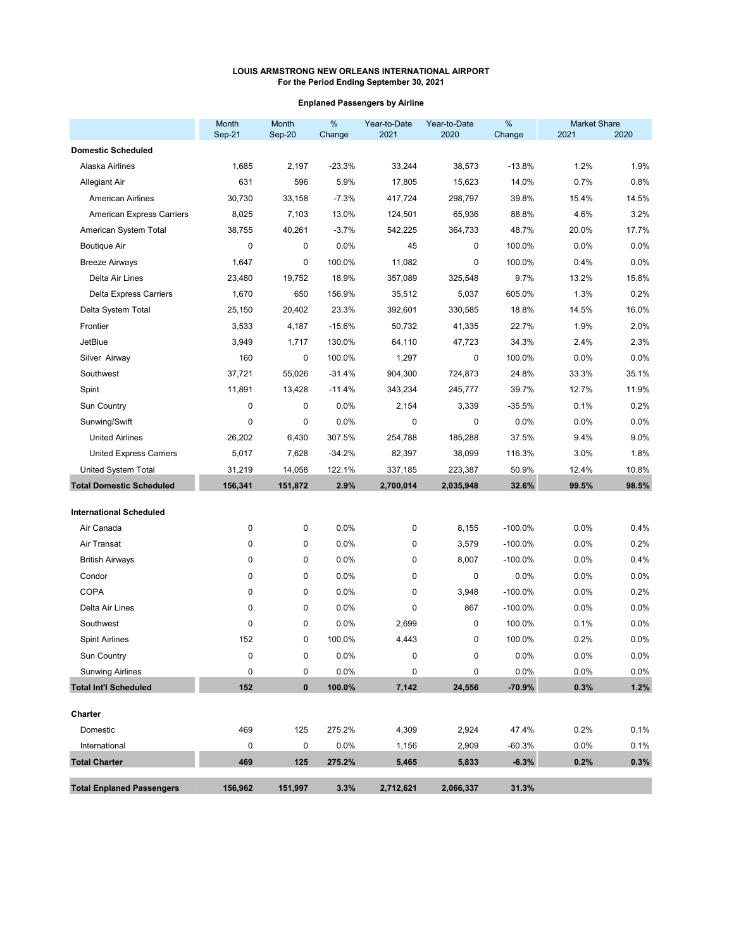# **Enplaned Passengers by Airline**

|                                  | Month<br>Sep-21 | <b>Month</b><br>Sep-20 | $\%$<br>Change | Year-to-Date<br>2021 | Year-to-Date<br>2020 | $\%$<br>Change | <b>Market Share</b><br>2021 | 2020    |
|----------------------------------|-----------------|------------------------|----------------|----------------------|----------------------|----------------|-----------------------------|---------|
| <b>Domestic Scheduled</b>        |                 |                        |                |                      |                      |                |                             |         |
| Alaska Airlines                  | 1,685           | 2,197                  | $-23.3%$       | 33,244               | 38,573               | $-13.8%$       | 1.2%                        | 1.9%    |
| <b>Allegiant Air</b>             | 631             | 596                    | 5.9%           | 17,805               | 15,623               | 14.0%          | 0.7%                        | 0.8%    |
| <b>American Airlines</b>         | 30,730          | 33,158                 | $-7.3%$        | 417,724              | 298,797              | 39.8%          | 15.4%                       | 14.5%   |
| <b>American Express Carriers</b> | 8,025           | 7,103                  | 13.0%          | 124,501              | 65,936               | 88.8%          | 4.6%                        | 3.2%    |
| American System Total            | 38,755          | 40,261                 | $-3.7%$        | 542,225              | 364,733              | 48.7%          | 20.0%                       | 17.7%   |
| <b>Boutique Air</b>              | $\mathbf 0$     | 0                      | 0.0%           | 45                   | 0                    | 100.0%         | 0.0%                        | 0.0%    |
| <b>Breeze Airways</b>            | 1,647           | 0                      | 100.0%         | 11,082               | 0                    | 100.0%         | 0.4%                        | 0.0%    |
| Delta Air Lines                  | 23,480          | 19,752                 | 18.9%          | 357,089              | 325,548              | 9.7%           | 13.2%                       | 15.8%   |
| <b>Delta Express Carriers</b>    | 1,670           | 650                    | 156.9%         | 35,512               | 5,037                | 605.0%         | 1.3%                        | 0.2%    |
| Delta System Total               | 25,150          | 20,402                 | 23.3%          | 392,601              | 330,585              | 18.8%          | 14.5%                       | 16.0%   |
| Frontier                         | 3,533           | 4,187                  | $-15.6%$       | 50,732               | 41,335               | 22.7%          | 1.9%                        | 2.0%    |
| <b>JetBlue</b>                   | 3,949           | 1,717                  | 130.0%         | 64,110               | 47,723               | 34.3%          | 2.4%                        | 2.3%    |
| Silver Airway                    | 160             | 0                      | 100.0%         | 1,297                | 0                    | 100.0%         | 0.0%                        | 0.0%    |
| Southwest                        | 37,721          | 55,026                 | $-31.4%$       | 904,300              | 724,873              | 24.8%          | 33.3%                       | 35.1%   |
| Spirit                           | 11,891          | 13,428                 | $-11.4%$       | 343,234              | 245,777              | 39.7%          | 12.7%                       | 11.9%   |
| Sun Country                      | $\mathbf 0$     | 0                      | 0.0%           | 2,154                | 3,339                | $-35.5%$       | 0.1%                        | 0.2%    |
| Sunwing/Swift                    | 0               | 0                      | 0.0%           | 0                    | 0                    | 0.0%           | 0.0%                        | 0.0%    |
| <b>United Airlines</b>           | 26,202          | 6,430                  | 307.5%         | 254,788              | 185,288              | 37.5%          | 9.4%                        | 9.0%    |
| <b>United Express Carriers</b>   | 5,017           | 7,628                  | $-34.2%$       | 82,397               | 38,099               | 116.3%         | 3.0%                        | 1.8%    |
| United System Total              | 31,219          | 14,058                 | 122.1%         | 337,185              | 223,387              | 50.9%          | 12.4%                       | 10.8%   |
| <b>Total Domestic Scheduled</b>  | 156,341         | 151,872                | 2.9%           | 2,700,014            | 2,035,948            | 32.6%          | 99.5%                       | 98.5%   |
| <b>International Scheduled</b>   |                 |                        |                |                      |                      |                |                             |         |
| Air Canada                       | 0               | 0                      | 0.0%           | 0                    | 8,155                | $-100.0%$      | 0.0%                        | 0.4%    |
| Air Transat                      | $\mathbf 0$     | 0                      | 0.0%           | 0                    | 3,579                | $-100.0%$      | 0.0%                        | 0.2%    |
| <b>British Airways</b>           | $\mathbf 0$     | 0                      | 0.0%           | 0                    | 8,007                | $-100.0%$      | 0.0%                        | 0.4%    |
| Condor                           | $\mathbf{0}$    | 0                      | 0.0%           | 0                    | 0                    | 0.0%           | 0.0%                        | 0.0%    |
| <b>COPA</b>                      | $\mathbf 0$     | 0                      | 0.0%           | 0                    | 3,948                | $-100.0%$      | 0.0%                        | 0.2%    |
| Delta Air Lines                  | $\mathbf 0$     | 0                      | 0.0%           | 0                    | 867                  | $-100.0%$      | 0.0%                        | 0.0%    |
| Southwest                        | $\mathbf 0$     | 0                      | 0.0%           | 2,699                | 0                    | 100.0%         | 0.1%                        | 0.0%    |
| <b>Spirit Airlines</b>           | 152             | 0                      | 100.0%         | 4,443                | 0                    | 100.0%         | 0.2%                        | 0.0%    |
| Sun Country                      | 0               | 0                      | 0.0%           | 0                    | 0                    | 0.0%           | 0.0%                        | $0.0\%$ |
| <b>Sunwing Airlines</b>          | 0               | 0                      | 0.0%           | 0                    | 0                    | 0.0%           | 0.0%                        | $0.0\%$ |
| <b>Total Int'l Scheduled</b>     | 152             | $\pmb{0}$              | 100.0%         | 7,142                | 24,556               | $-70.9%$       | 0.3%                        | 1.2%    |
| Charter                          |                 |                        |                |                      |                      |                |                             |         |
| Domestic                         | 469             | 125                    | 275.2%         | 4,309                | 2,924                | 47.4%          | 0.2%                        | 0.1%    |
| International                    | $\mathbf 0$     | $\pmb{0}$              | 0.0%           | 1,156                | 2,909                | $-60.3%$       | 0.0%                        | 0.1%    |
| <b>Total Charter</b>             | 469             | 125                    | 275.2%         | 5,465                | 5,833                | $-6.3%$        | 0.2%                        | 0.3%    |
| <b>Total Enplaned Passengers</b> | 156,962         | 151,997                | 3.3%           | 2,712,621            | 2,066,337            | 31.3%          |                             |         |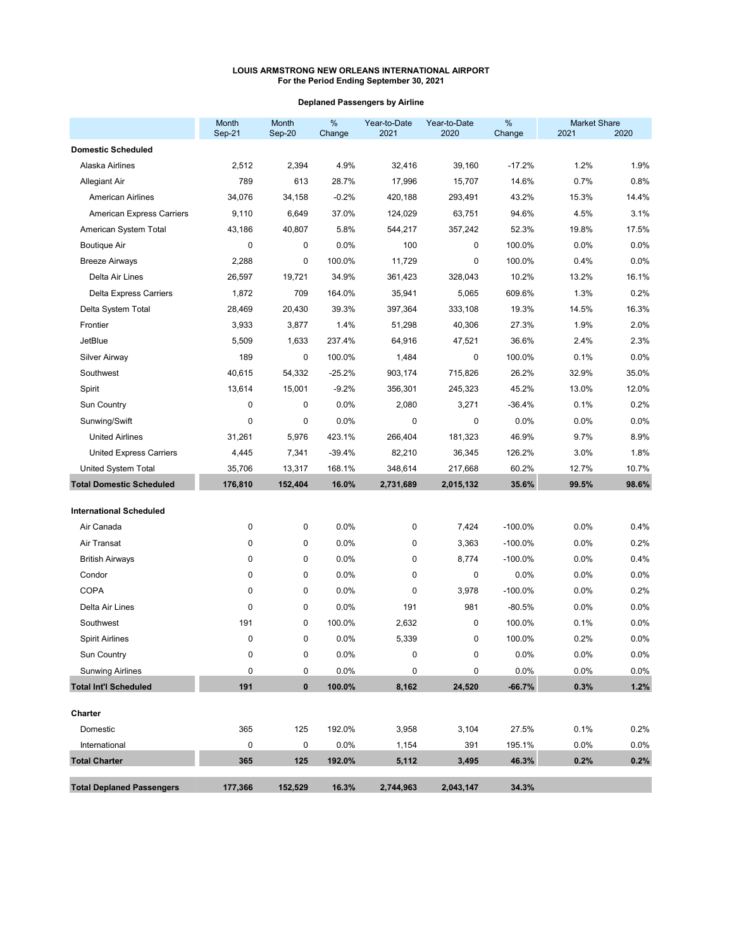# **Deplaned Passengers by Airline**

|                                  | Month<br>Sep-21 | Month<br>Sep-20 | $\%$<br>Change | Year-to-Date<br>2021 | Year-to-Date<br>2020 | %<br>Change | <b>Market Share</b><br>2021 | 2020    |
|----------------------------------|-----------------|-----------------|----------------|----------------------|----------------------|-------------|-----------------------------|---------|
| <b>Domestic Scheduled</b>        |                 |                 |                |                      |                      |             |                             |         |
| Alaska Airlines                  | 2,512           | 2,394           | 4.9%           | 32,416               | 39,160               | $-17.2%$    | 1.2%                        | 1.9%    |
| Allegiant Air                    | 789             | 613             | 28.7%          | 17,996               | 15,707               | 14.6%       | 0.7%                        | 0.8%    |
| <b>American Airlines</b>         | 34,076          | 34,158          | $-0.2%$        | 420,188              | 293,491              | 43.2%       | 15.3%                       | 14.4%   |
| <b>American Express Carriers</b> | 9,110           | 6,649           | 37.0%          | 124,029              | 63,751               | 94.6%       | 4.5%                        | 3.1%    |
| American System Total            | 43,186          | 40,807          | 5.8%           | 544,217              | 357,242              | 52.3%       | 19.8%                       | 17.5%   |
| <b>Boutique Air</b>              | 0               | 0               | 0.0%           | 100                  | 0                    | 100.0%      | $0.0\%$                     | 0.0%    |
| <b>Breeze Airways</b>            | 2,288           | 0               | 100.0%         | 11,729               | 0                    | 100.0%      | 0.4%                        | 0.0%    |
| Delta Air Lines                  | 26,597          | 19,721          | 34.9%          | 361,423              | 328,043              | 10.2%       | 13.2%                       | 16.1%   |
| <b>Delta Express Carriers</b>    | 1,872           | 709             | 164.0%         | 35,941               | 5,065                | 609.6%      | 1.3%                        | 0.2%    |
| Delta System Total               | 28,469          | 20,430          | 39.3%          | 397,364              | 333,108              | 19.3%       | 14.5%                       | 16.3%   |
| Frontier                         | 3,933           | 3,877           | 1.4%           | 51,298               | 40,306               | 27.3%       | 1.9%                        | 2.0%    |
| <b>JetBlue</b>                   | 5,509           | 1,633           | 237.4%         | 64,916               | 47,521               | 36.6%       | 2.4%                        | 2.3%    |
| <b>Silver Airway</b>             | 189             | 0               | 100.0%         | 1,484                | 0                    | 100.0%      | 0.1%                        | 0.0%    |
| Southwest                        | 40,615          | 54,332          | $-25.2%$       | 903,174              | 715,826              | 26.2%       | 32.9%                       | 35.0%   |
| Spirit                           | 13,614          | 15,001          | $-9.2%$        | 356,301              | 245,323              | 45.2%       | 13.0%                       | 12.0%   |
| Sun Country                      | $\mathbf 0$     | 0               | 0.0%           | 2,080                | 3,271                | $-36.4%$    | 0.1%                        | 0.2%    |
| Sunwing/Swift                    | 0               | 0               | 0.0%           | 0                    | 0                    | 0.0%        | 0.0%                        | 0.0%    |
| <b>United Airlines</b>           | 31,261          | 5,976           | 423.1%         | 266,404              | 181,323              | 46.9%       | 9.7%                        | 8.9%    |
| <b>United Express Carriers</b>   | 4,445           | 7,341           | $-39.4%$       | 82,210               | 36,345               | 126.2%      | 3.0%                        | 1.8%    |
| United System Total              | 35,706          | 13,317          | 168.1%         | 348,614              | 217,668              | 60.2%       | 12.7%                       | 10.7%   |
| <b>Total Domestic Scheduled</b>  | 176,810         | 152,404         | 16.0%          | 2,731,689            | 2,015,132            | 35.6%       | 99.5%                       | 98.6%   |
| <b>International Scheduled</b>   |                 |                 |                |                      |                      |             |                             |         |
| Air Canada                       | $\mathbf 0$     | 0               | 0.0%           | 0                    | 7,424                | $-100.0\%$  | 0.0%                        | 0.4%    |
| Air Transat                      | $\mathbf{0}$    | 0               | 0.0%           | 0                    | 3,363                | $-100.0%$   | 0.0%                        | 0.2%    |
| <b>British Airways</b>           | $\mathbf 0$     | 0               | 0.0%           | 0                    | 8,774                | $-100.0%$   | 0.0%                        | 0.4%    |
| Condor                           | 0               | 0               | 0.0%           | 0                    | 0                    | 0.0%        | 0.0%                        | 0.0%    |
| COPA                             | 0               | 0               | 0.0%           | 0                    | 3,978                | $-100.0\%$  | 0.0%                        | 0.2%    |
| Delta Air Lines                  | 0               | 0               | 0.0%           | 191                  | 981                  | $-80.5%$    | 0.0%                        | 0.0%    |
| Southwest                        | 191             | 0               | 100.0%         | 2,632                | 0                    | 100.0%      | 0.1%                        | 0.0%    |
| Spirit Airlines                  | 0               | 0               | 0.0%           | 5,339                | 0                    | 100.0%      | 0.2%                        | 0.0%    |
| Sun Country                      | 0               | 0               | 0.0%           |                      | 0                    | 0.0%        | 0.0%                        | 0.0%    |
| <b>Sunwing Airlines</b>          | $\mathbf 0$     | 0               | 0.0%           | 0                    | 0                    | 0.0%        | 0.0%                        | $0.0\%$ |
| <b>Total Int'l Scheduled</b>     | 191             | $\pmb{0}$       | 100.0%         | 8,162                | 24,520               | $-66.7%$    | 0.3%                        | 1.2%    |
| Charter                          |                 |                 |                |                      |                      |             |                             |         |
| Domestic                         | 365             | 125             | 192.0%         | 3,958                | 3,104                | 27.5%       | 0.1%                        | 0.2%    |
| International                    | 0               | 0               | 0.0%           | 1,154                | 391                  | 195.1%      | 0.0%                        | 0.0%    |
| <b>Total Charter</b>             | 365             | 125             | 192.0%         | 5,112                | 3,495                | 46.3%       | 0.2%                        | 0.2%    |
| <b>Total Deplaned Passengers</b> | 177,366         | 152,529         | 16.3%          | 2,744,963            | 2,043,147            | 34.3%       |                             |         |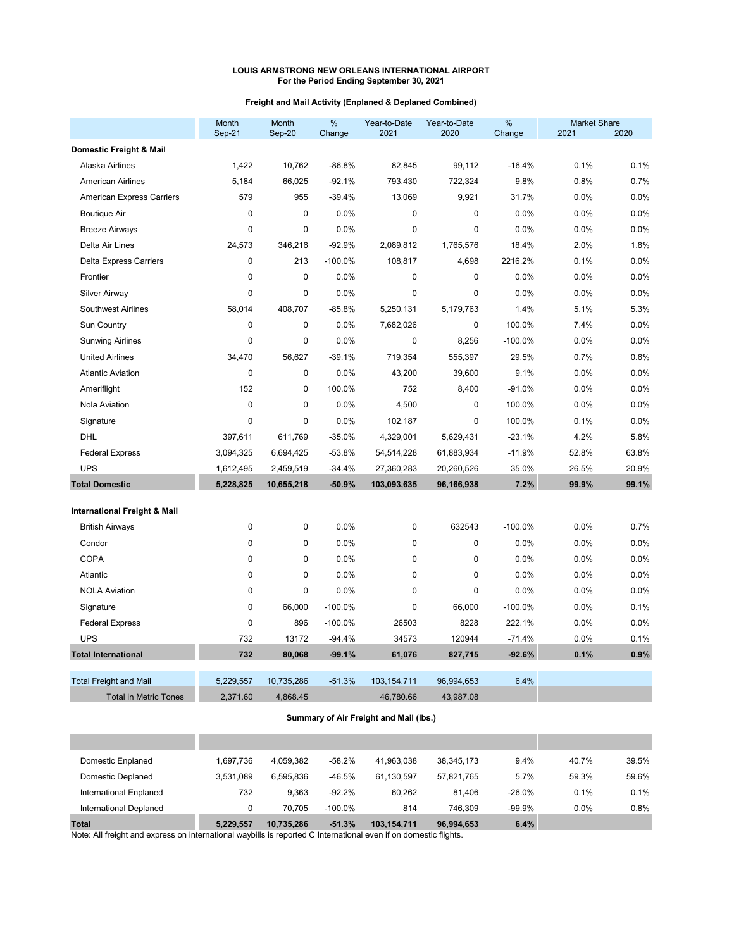# **Freight and Mail Activity (Enplaned & Deplaned Combined)**

|                                         | Month<br>Sep-21 | Month<br>Sep-20 | %<br>Change | Year-to-Date<br>2021 | Year-to-Date<br>2020 | %<br>Change | <b>Market Share</b><br>2021 | 2020  |
|-----------------------------------------|-----------------|-----------------|-------------|----------------------|----------------------|-------------|-----------------------------|-------|
| Domestic Freight & Mail                 |                 |                 |             |                      |                      |             |                             |       |
| Alaska Airlines                         | 1,422           | 10,762          | $-86.8%$    | 82,845               | 99,112               | $-16.4%$    | 0.1%                        | 0.1%  |
| <b>American Airlines</b>                | 5,184           | 66,025          | $-92.1%$    | 793,430              | 722,324              | 9.8%        | 0.8%                        | 0.7%  |
| American Express Carriers               | 579             | 955             | $-39.4%$    | 13,069               | 9,921                | 31.7%       | 0.0%                        | 0.0%  |
| <b>Boutique Air</b>                     | $\mathbf{0}$    | 0               | 0.0%        | $\mathbf 0$          | 0                    | 0.0%        | 0.0%                        | 0.0%  |
| <b>Breeze Airways</b>                   | $\mathbf 0$     | 0               | 0.0%        | $\mathbf 0$          | 0                    | 0.0%        | 0.0%                        | 0.0%  |
| Delta Air Lines                         | 24,573          | 346,216         | $-92.9%$    | 2,089,812            | 1,765,576            | 18.4%       | 2.0%                        | 1.8%  |
| <b>Delta Express Carriers</b>           | $\mathbf{0}$    | 213             | $-100.0%$   | 108,817              | 4,698                | 2216.2%     | 0.1%                        | 0.0%  |
| Frontier                                | $\mathbf 0$     | 0               | 0.0%        | $\pmb{0}$            | 0                    | 0.0%        | 0.0%                        | 0.0%  |
| <b>Silver Airway</b>                    | $\mathbf{0}$    | 0               | 0.0%        | 0                    | 0                    | 0.0%        | 0.0%                        | 0.0%  |
| <b>Southwest Airlines</b>               | 58,014          | 408,707         | $-85.8%$    | 5,250,131            | 5,179,763            | 1.4%        | 5.1%                        | 5.3%  |
| Sun Country                             | $\mathbf 0$     | 0               | 0.0%        | 7,682,026            | 0                    | 100.0%      | 7.4%                        | 0.0%  |
| <b>Sunwing Airlines</b>                 | $\mathbf{0}$    | 0               | 0.0%        | $\mathbf 0$          | 8,256                | $-100.0%$   | 0.0%                        | 0.0%  |
| <b>United Airlines</b>                  | 34,470          | 56,627          | $-39.1%$    | 719,354              | 555,397              | 29.5%       | 0.7%                        | 0.6%  |
| <b>Atlantic Aviation</b>                | $\mathbf{0}$    | 0               | 0.0%        | 43,200               | 39,600               | 9.1%        | 0.0%                        | 0.0%  |
| Ameriflight                             | 152             | 0               | 100.0%      | 752                  | 8,400                | $-91.0%$    | 0.0%                        | 0.0%  |
| Nola Aviation                           | $\mathbf 0$     | 0               | 0.0%        | 4,500                | 0                    | 100.0%      | 0.0%                        | 0.0%  |
| Signature                               | $\mathbf 0$     | 0               | 0.0%        | 102,187              | 0                    | 100.0%      | 0.1%                        | 0.0%  |
| DHL                                     | 397,611         | 611,769         | $-35.0%$    | 4,329,001            | 5,629,431            | $-23.1%$    | 4.2%                        | 5.8%  |
| <b>Federal Express</b>                  | 3,094,325       | 6,694,425       | $-53.8%$    | 54,514,228           | 61,883,934           | $-11.9%$    | 52.8%                       | 63.8% |
| <b>UPS</b>                              | 1,612,495       | 2,459,519       | $-34.4%$    | 27,360,283           | 20,260,526           | 35.0%       | 26.5%                       | 20.9% |
| <b>Total Domestic</b>                   | 5,228,825       | 10,655,218      | $-50.9%$    | 103,093,635          | 96,166,938           | 7.2%        | 99.9%                       | 99.1% |
| <b>International Freight &amp; Mail</b> |                 |                 |             |                      |                      |             |                             |       |
| <b>British Airways</b>                  | $\mathbf 0$     | 0               | 0.0%        | $\mathbf 0$          | 632543               | $-100.0%$   | 0.0%                        | 0.7%  |
| Condor                                  | $\mathbf 0$     | 0               | 0.0%        | 0                    | 0                    | 0.0%        | 0.0%                        | 0.0%  |
| <b>COPA</b>                             | $\mathbf{0}$    | 0               | 0.0%        | $\mathbf 0$          | 0                    | 0.0%        | 0.0%                        | 0.0%  |
| Atlantic                                | $\mathbf{0}$    | 0               | 0.0%        | $\mathbf 0$          | 0                    | 0.0%        | 0.0%                        | 0.0%  |
| <b>NOLA Aviation</b>                    | $\mathbf{0}$    | 0               | 0.0%        | $\mathbf 0$          | 0                    | 0.0%        | 0.0%                        | 0.0%  |
| Signature                               | $\mathbf 0$     | 66,000          | $-100.0%$   | 0                    | 66,000               | $-100.0%$   | 0.0%                        | 0.1%  |
| <b>Federal Express</b>                  | $\mathbf 0$     | 896             | $-100.0%$   | 26503                | 8228                 | 222.1%      | 0.0%                        | 0.0%  |
| <b>UPS</b>                              | 732             | 13172           | $-94.4%$    | 34573                | 120944               | $-71.4%$    | 0.0%                        | 0.1%  |
| <b>Total International</b>              | 732             | 80,068          | $-99.1%$    | 61,076               | 827,715              | $-92.6%$    | 0.1%                        | 0.9%  |
| <b>Total Freight and Mail</b>           | 5,229,557       | 10,735,286      | $-51.3%$    | 103,154,711          | 96,994,653           | 6.4%        |                             |       |
| <b>Total in Metric Tones</b>            | 2,371.60        | 4,868.45        |             | 46,780.66            | 43,987.08            |             |                             |       |

# **Summary of Air Freight and Mail (lbs.)**

| 0.8%  |
|-------|
| 0.1%  |
| 59.6% |
| 39.5% |
|       |
|       |

Note: All freight and express on international waybills is reported C International even if on domestic flights.